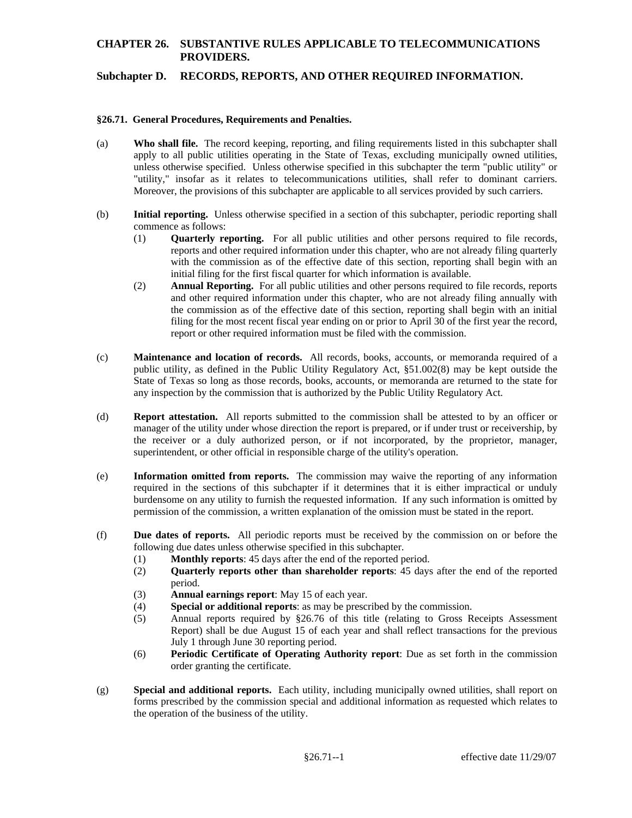### **CHAPTER 26. SUBSTANTIVE RULES APPLICABLE TO TELECOMMUNICATIONS PROVIDERS.**

#### **Subchapter D. RECORDS, REPORTS, AND OTHER REQUIRED INFORMATION.**

#### **§26.71. General Procedures, Requirements and Penalties.**

- (a) **Who shall file.** The record keeping, reporting, and filing requirements listed in this subchapter shall apply to all public utilities operating in the State of Texas, excluding municipally owned utilities, unless otherwise specified. Unless otherwise specified in this subchapter the term "public utility" or "utility," insofar as it relates to telecommunications utilities, shall refer to dominant carriers. Moreover, the provisions of this subchapter are applicable to all services provided by such carriers.
- (b) **Initial reporting.** Unless otherwise specified in a section of this subchapter, periodic reporting shall commence as follows:
	- with the commission as of the effective date of this section, reporting shall begin with an (1) **Quarterly reporting.** For all public utilities and other persons required to file records, reports and other required information under this chapter, who are not already filing quarterly initial filing for the first fiscal quarter for which information is available.
	- (2) **Annual Reporting.** For all public utilities and other persons required to file records, reports report or other required information must be filed with the commission. and other required information under this chapter, who are not already filing annually with the commission as of the effective date of this section, reporting shall begin with an initial filing for the most recent fiscal year ending on or prior to April 30 of the first year the record,
- (c) **Maintenance and location of records.** All records, books, accounts, or memoranda required of a public utility, as defined in the Public Utility Regulatory Act, §51.002(8) may be kept outside the State of Texas so long as those records, books, accounts, or memoranda are returned to the state for any inspection by the commission that is authorized by the Public Utility Regulatory Act.
- (d) **Report attestation.** All reports submitted to the commission shall be attested to by an officer or manager of the utility under whose direction the report is prepared, or if under trust or receivership, by the receiver or a duly authorized person, or if not incorporated, by the proprietor, manager, superintendent, or other official in responsible charge of the utility's operation.
- (e) **Information omitted from reports.** The commission may waive the reporting of any information required in the sections of this subchapter if it determines that it is either impractical or unduly burdensome on any utility to furnish the requested information. If any such information is omitted by permission of the commission, a written explanation of the omission must be stated in the report.
- (f) **Due dates of reports.** All periodic reports must be received by the commission on or before the following due dates unless otherwise specified in this subchapter.
	- (1) **Monthly reports**: 45 days after the end of the reported period.
	- (2) **Quarterly reports other than shareholder reports**: 45 days after the end of the reported period.
	- (3) **Annual earnings report**: May 15 of each year.
	- (4) **Special or additional reports**: as may be prescribed by the commission.
	- (5) Annual reports required by §26.76 of this title (relating to Gross Receipts Assessment Report) shall be due August 15 of each year and shall reflect transactions for the previous July 1 through June 30 reporting period.
	- (6) **Periodic Certificate of Operating Authority report**: Due as set forth in the commission order granting the certificate.
- (g) **Special and additional reports.** Each utility, including municipally owned utilities, shall report on forms prescribed by the commission special and additional information as requested which relates to the operation of the business of the utility.